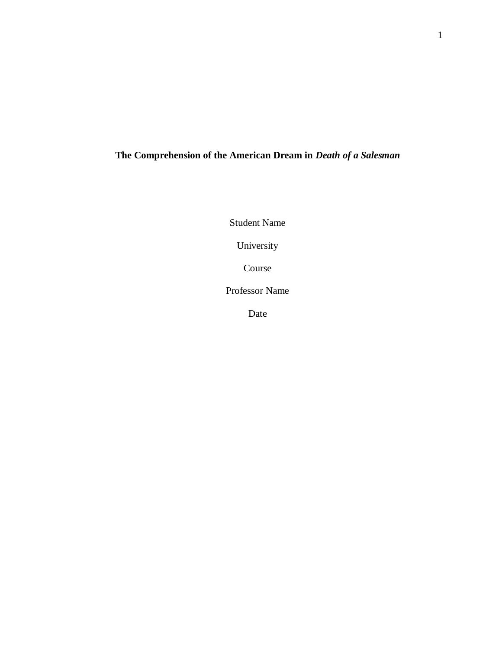# **The Comprehension of the American Dream in** *Death of a Salesman*

Student Name

University

Course

Professor Name

Date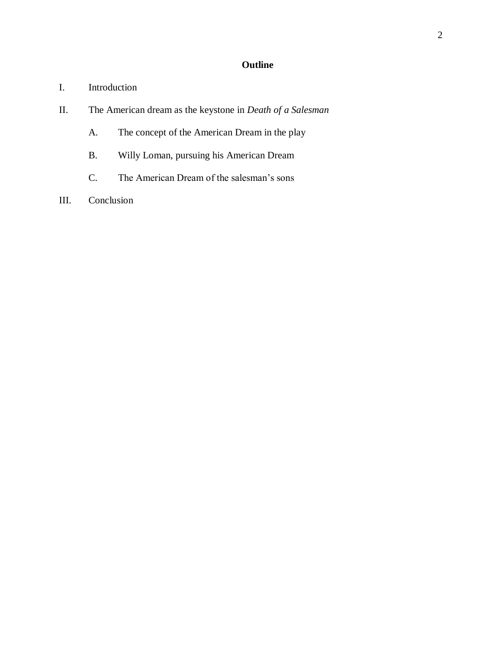# **Outline**

- I. Introduction
- II. The American dream as the keystone in *Death of a Salesman*
	- A. The concept of the American Dream in the play
	- B. Willy Loman, pursuing his American Dream
	- C. The American Dream of the salesman's sons
- III. Conclusion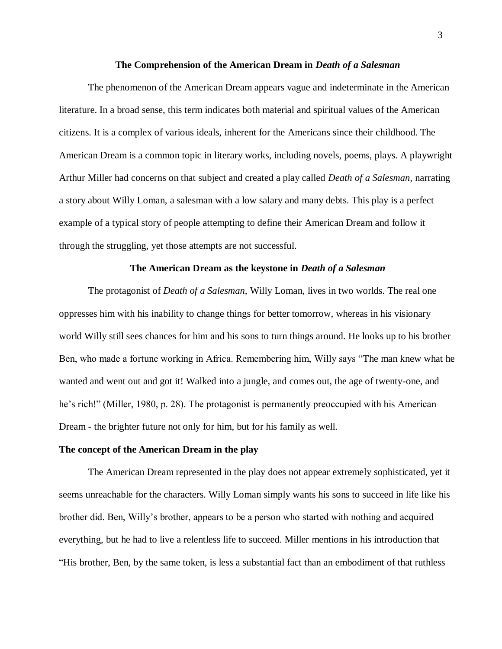#### **The Comprehension of the American Dream in** *Death of a Salesman*

The phenomenon of the American Dream appears vague and indeterminate in the American literature. In a broad sense, this term indicates both material and spiritual values of the American citizens. It is a complex of various ideals, inherent for the Americans since their childhood. The American Dream is a common topic in literary works, including novels, poems, plays. A playwright Arthur Miller had concerns on that subject and created a play called *Death of a Salesman,* narrating a story about Willy Loman, a salesman with a low salary and many debts. This play is a perfect example of a typical story of people attempting to define their American Dream and follow it through the struggling, yet those attempts are not successful.

# **The American Dream as the keystone in** *Death of a Salesman*

The protagonist of *Death of a Salesman,* Willy Loman, lives in two worlds. The real one oppresses him with his inability to change things for better tomorrow, whereas in his visionary world Willy still sees chances for him and his sons to turn things around. He looks up to his brother Ben, who made a fortune working in Africa. Remembering him, Willy says "The man knew what he wanted and went out and got it! Walked into a jungle, and comes out, the age of twenty-one, and he's rich!" (Miller, 1980, p. 28). The protagonist is permanently preoccupied with his American Dream - the brighter future not only for him, but for his family as well.

#### **The concept of the American Dream in the play**

The American Dream represented in the play does not appear extremely sophisticated, yet it seems unreachable for the characters. Willy Loman simply wants his sons to succeed in life like his brother did. Ben, Willy's brother, appears to be a person who started with nothing and acquired everything, but he had to live a relentless life to succeed. Miller mentions in his introduction that "His brother, Ben, by the same token, is less a substantial fact than an embodiment of that ruthless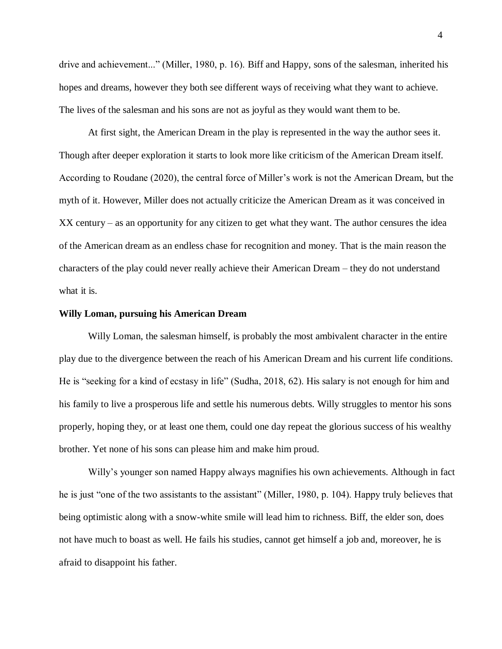drive and achievement..." (Miller, 1980, p. 16). Biff and Happy, sons of the salesman, inherited his hopes and dreams, however they both see different ways of receiving what they want to achieve. The lives of the salesman and his sons are not as joyful as they would want them to be.

At first sight, the American Dream in the play is represented in the way the author sees it. Though after deeper exploration it starts to look more like criticism of the American Dream itself. According to Roudane (2020), the central force of Miller's work is not the American Dream, but the myth of it. However, Miller does not actually criticize the American Dream as it was conceived in XX century – as an opportunity for any citizen to get what they want. The author censures the idea of the American dream as an endless chase for recognition and money. That is the main reason the characters of the play could never really achieve their American Dream – they do not understand what it is.

#### **Willy Loman, pursuing his American Dream**

Willy Loman, the salesman himself, is probably the most ambivalent character in the entire play due to the divergence between the reach of his American Dream and his current life conditions. He is "seeking for a kind of ecstasy in life" (Sudha, 2018, 62). His salary is not enough for him and his family to live a prosperous life and settle his numerous debts. Willy struggles to mentor his sons properly, hoping they, or at least one them, could one day repeat the glorious success of his wealthy brother. Yet none of his sons can please him and make him proud.

Willy's younger son named Happy always magnifies his own achievements. Although in fact he is just "one of the two assistants to the assistant" (Miller, 1980, p. 104). Happy truly believes that being optimistic along with a snow-white smile will lead him to richness. Biff, the elder son, does not have much to boast as well. He fails his studies, cannot get himself a job and, moreover, he is afraid to disappoint his father.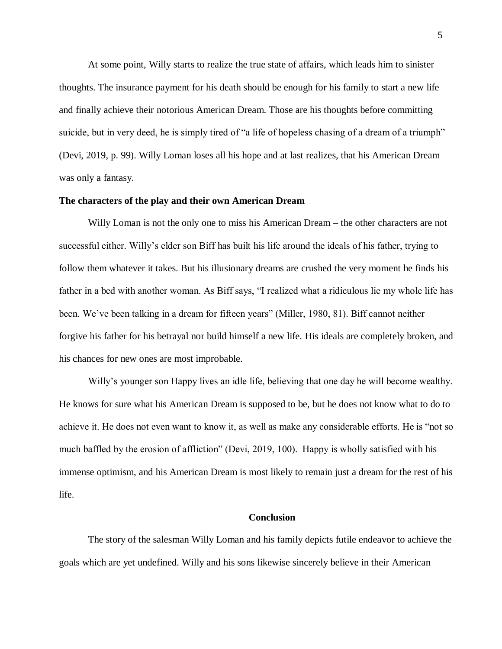At some point, Willy starts to realize the true state of affairs, which leads him to sinister thoughts. The insurance payment for his death should be enough for his family to start a new life and finally achieve their notorious American Dream. Those are his thoughts before committing suicide, but in very deed, he is simply tired of "a life of hopeless chasing of a dream of a triumph" (Devi, 2019, p. 99). Willy Loman loses all his hope and at last realizes, that his American Dream was only a fantasy.

# **The characters of the play and their own American Dream**

Willy Loman is not the only one to miss his American Dream – the other characters are not successful either. Willy's elder son Biff has built his life around the ideals of his father, trying to follow them whatever it takes. But his illusionary dreams are crushed the very moment he finds his father in a bed with another woman. As Biff says, "I realized what a ridiculous lie my whole life has been. We've been talking in a dream for fifteen years" (Miller, 1980, 81). Biff cannot neither forgive his father for his betrayal nor build himself a new life. His ideals are completely broken, and his chances for new ones are most improbable.

Willy's younger son Happy lives an idle life, believing that one day he will become wealthy. He knows for sure what his American Dream is supposed to be, but he does not know what to do to achieve it. He does not even want to know it, as well as make any considerable efforts. He is "not so much baffled by the erosion of affliction" (Devi, 2019, 100). Happy is wholly satisfied with his immense optimism, and his American Dream is most likely to remain just a dream for the rest of his life.

# **Conclusion**

The story of the salesman Willy Loman and his family depicts futile endeavor to achieve the goals which are yet undefined. Willy and his sons likewise sincerely believe in their American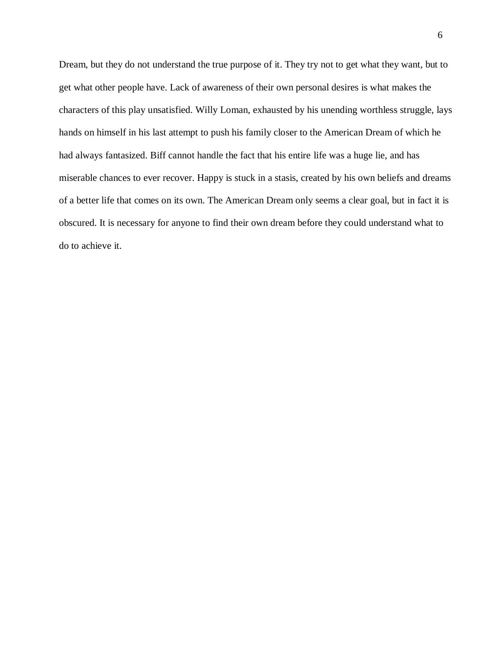Dream, but they do not understand the true purpose of it. They try not to get what they want, but to get what other people have. Lack of awareness of their own personal desires is what makes the characters of this play unsatisfied. Willy Loman, exhausted by his unending worthless struggle, lays hands on himself in his last attempt to push his family closer to the American Dream of which he had always fantasized. Biff cannot handle the fact that his entire life was a huge lie, and has miserable chances to ever recover. Happy is stuck in a stasis, created by his own beliefs and dreams of a better life that comes on its own. The American Dream only seems a clear goal, but in fact it is obscured. It is necessary for anyone to find their own dream before they could understand what to do to achieve it.